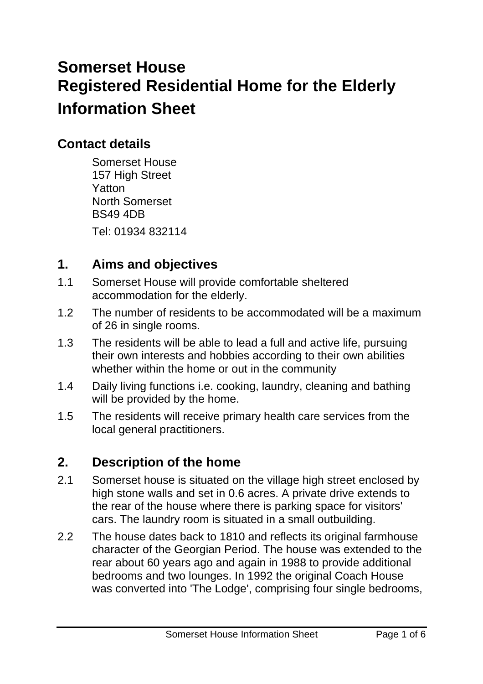# **Somerset House Registered Residential Home for the Elderly Information Sheet**

# **Contact details**

Somerset House 157 High Street Yatton North Somerset BS49 4DB

Tel: 01934 832114

# **1. Aims and objectives**

- 1.1 Somerset House will provide comfortable sheltered accommodation for the elderly.
- 1.2 The number of residents to be accommodated will be a maximum of 26 in single rooms.
- 1.3 The residents will be able to lead a full and active life, pursuing their own interests and hobbies according to their own abilities whether within the home or out in the community
- 1.4 Daily living functions i.e. cooking, laundry, cleaning and bathing will be provided by the home.
- 1.5 The residents will receive primary health care services from the local general practitioners.

# **2. Description of the home**

- 2.1 Somerset house is situated on the village high street enclosed by high stone walls and set in 0.6 acres. A private drive extends to the rear of the house where there is parking space for visitors' cars. The laundry room is situated in a small outbuilding.
- 2.2 The house dates back to 1810 and reflects its original farmhouse character of the Georgian Period. The house was extended to the rear about 60 years ago and again in 1988 to provide additional bedrooms and two lounges. In 1992 the original Coach House was converted into 'The Lodge', comprising four single bedrooms,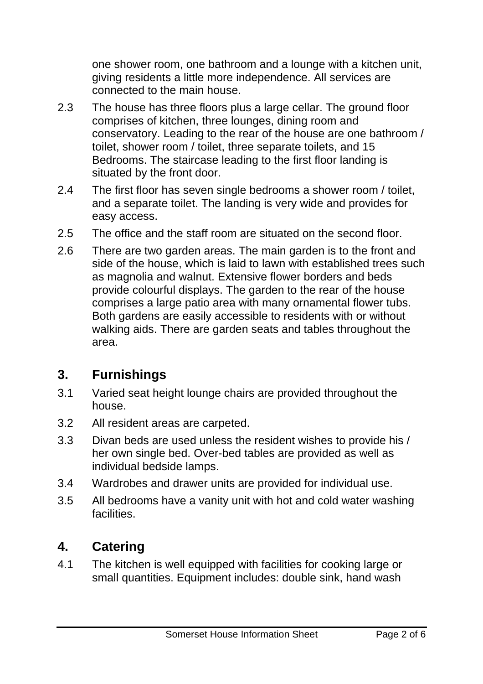one shower room, one bathroom and a lounge with a kitchen unit, giving residents a little more independence. All services are connected to the main house.

- 2.3 The house has three floors plus a large cellar. The ground floor comprises of kitchen, three lounges, dining room and conservatory. Leading to the rear of the house are one bathroom / toilet, shower room / toilet, three separate toilets, and 15 Bedrooms. The staircase leading to the first floor landing is situated by the front door.
- 2.4 The first floor has seven single bedrooms a shower room / toilet, and a separate toilet. The landing is very wide and provides for easy access.
- 2.5 The office and the staff room are situated on the second floor.
- 2.6 There are two garden areas. The main garden is to the front and side of the house, which is laid to lawn with established trees such as magnolia and walnut. Extensive flower borders and beds provide colourful displays. The garden to the rear of the house comprises a large patio area with many ornamental flower tubs. Both gardens are easily accessible to residents with or without walking aids. There are garden seats and tables throughout the area.

## **3. Furnishings**

- 3.1 Varied seat height lounge chairs are provided throughout the house.
- 3.2 All resident areas are carpeted.
- 3.3 Divan beds are used unless the resident wishes to provide his / her own single bed. Over-bed tables are provided as well as individual bedside lamps.
- 3.4 Wardrobes and drawer units are provided for individual use.
- 3.5 All bedrooms have a vanity unit with hot and cold water washing facilities.

## **4. Catering**

4.1 The kitchen is well equipped with facilities for cooking large or small quantities. Equipment includes: double sink, hand wash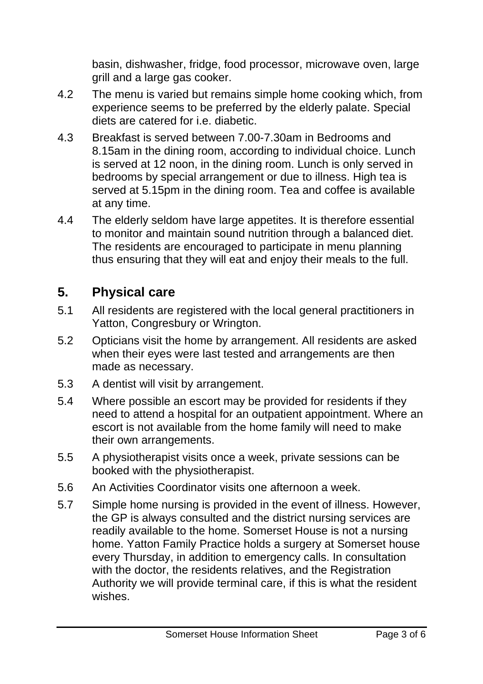basin, dishwasher, fridge, food processor, microwave oven, large grill and a large gas cooker.

- 4.2 The menu is varied but remains simple home cooking which, from experience seems to be preferred by the elderly palate. Special diets are catered for i.e. diabetic.
- 4.3 Breakfast is served between 7.00-7.30am in Bedrooms and 8.15am in the dining room, according to individual choice. Lunch is served at 12 noon, in the dining room. Lunch is only served in bedrooms by special arrangement or due to illness. High tea is served at 5.15pm in the dining room. Tea and coffee is available at any time.
- 4.4 The elderly seldom have large appetites. It is therefore essential to monitor and maintain sound nutrition through a balanced diet. The residents are encouraged to participate in menu planning thus ensuring that they will eat and enjoy their meals to the full.

# **5. Physical care**

- 5.1 All residents are registered with the local general practitioners in Yatton, Congresbury or Wrington.
- 5.2 Opticians visit the home by arrangement. All residents are asked when their eyes were last tested and arrangements are then made as necessary.
- 5.3 A dentist will visit by arrangement.
- 5.4 Where possible an escort may be provided for residents if they need to attend a hospital for an outpatient appointment. Where an escort is not available from the home family will need to make their own arrangements.
- 5.5 A physiotherapist visits once a week, private sessions can be booked with the physiotherapist.
- 5.6 An Activities Coordinator visits one afternoon a week.
- 5.7 Simple home nursing is provided in the event of illness. However, the GP is always consulted and the district nursing services are readily available to the home. Somerset House is not a nursing home. Yatton Family Practice holds a surgery at Somerset house every Thursday, in addition to emergency calls. In consultation with the doctor, the residents relatives, and the Registration Authority we will provide terminal care, if this is what the resident wishes.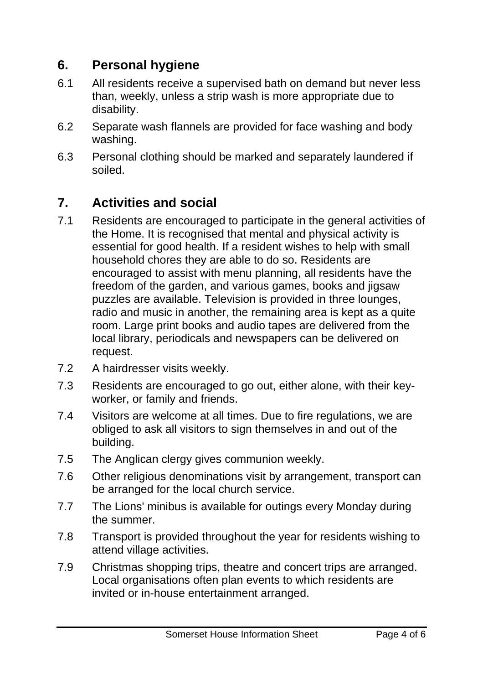# **6. Personal hygiene**

- 6.1 All residents receive a supervised bath on demand but never less than, weekly, unless a strip wash is more appropriate due to disability.
- 6.2 Separate wash flannels are provided for face washing and body washing.
- 6.3 Personal clothing should be marked and separately laundered if soiled.

# **7. Activities and social**

- 7.1 Residents are encouraged to participate in the general activities of the Home. It is recognised that mental and physical activity is essential for good health. If a resident wishes to help with small household chores they are able to do so. Residents are encouraged to assist with menu planning, all residents have the freedom of the garden, and various games, books and jigsaw puzzles are available. Television is provided in three lounges, radio and music in another, the remaining area is kept as a quite room. Large print books and audio tapes are delivered from the local library, periodicals and newspapers can be delivered on request.
- 7.2 A hairdresser visits weekly.
- 7.3 Residents are encouraged to go out, either alone, with their keyworker, or family and friends.
- 7.4 Visitors are welcome at all times. Due to fire regulations, we are obliged to ask all visitors to sign themselves in and out of the building.
- 7.5 The Anglican clergy gives communion weekly.
- 7.6 Other religious denominations visit by arrangement, transport can be arranged for the local church service.
- 7.7 The Lions' minibus is available for outings every Monday during the summer.
- 7.8 Transport is provided throughout the year for residents wishing to attend village activities.
- 7.9 Christmas shopping trips, theatre and concert trips are arranged. Local organisations often plan events to which residents are invited or in-house entertainment arranged.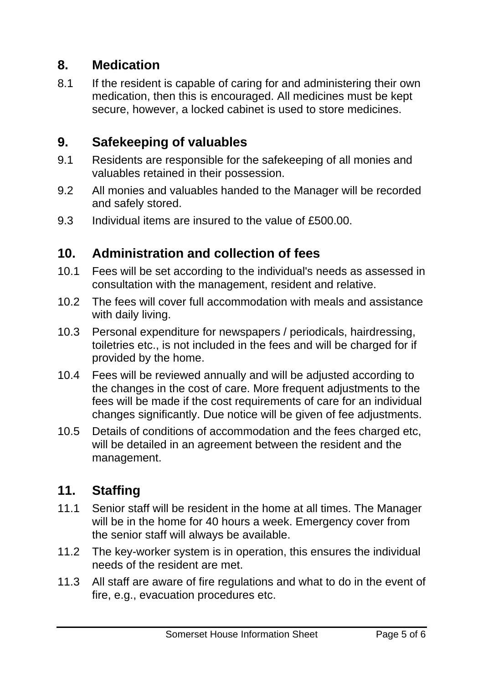#### **8. Medication**

8.1 If the resident is capable of caring for and administering their own medication, then this is encouraged. All medicines must be kept secure, however, a locked cabinet is used to store medicines.

#### **9. Safekeeping of valuables**

- 9.1 Residents are responsible for the safekeeping of all monies and valuables retained in their possession.
- 9.2 All monies and valuables handed to the Manager will be recorded and safely stored.
- 9.3 Individual items are insured to the value of £500.00.

#### **10. Administration and collection of fees**

- 10.1 Fees will be set according to the individual's needs as assessed in consultation with the management, resident and relative.
- 10.2 The fees will cover full accommodation with meals and assistance with daily living.
- 10.3 Personal expenditure for newspapers / periodicals, hairdressing, toiletries etc., is not included in the fees and will be charged for if provided by the home.
- 10.4 Fees will be reviewed annually and will be adjusted according to the changes in the cost of care. More frequent adjustments to the fees will be made if the cost requirements of care for an individual changes significantly. Due notice will be given of fee adjustments.
- 10.5 Details of conditions of accommodation and the fees charged etc, will be detailed in an agreement between the resident and the management.

## **11. Staffing**

- 11.1 Senior staff will be resident in the home at all times. The Manager will be in the home for 40 hours a week. Emergency cover from the senior staff will always be available.
- 11.2 The key-worker system is in operation, this ensures the individual needs of the resident are met.
- 11.3 All staff are aware of fire regulations and what to do in the event of fire, e.g., evacuation procedures etc.